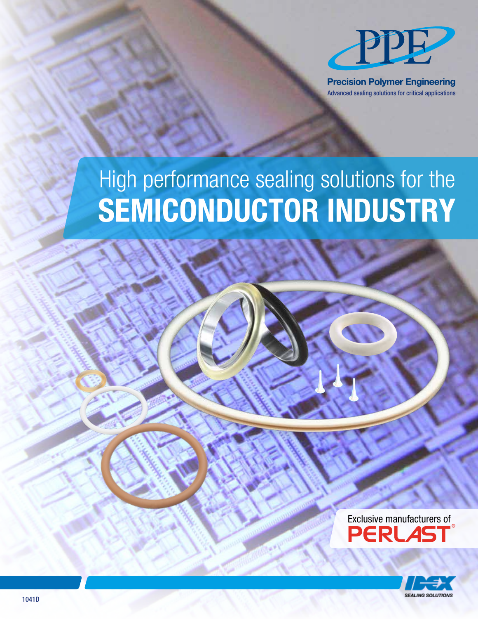

**Precision Polymer Engineering** Advanced sealing solutions for critical applications

# High performance sealing solutions for the SEMICONDUCTOR INDUSTRY

Exclusive manufacturers of **PERLAS** 

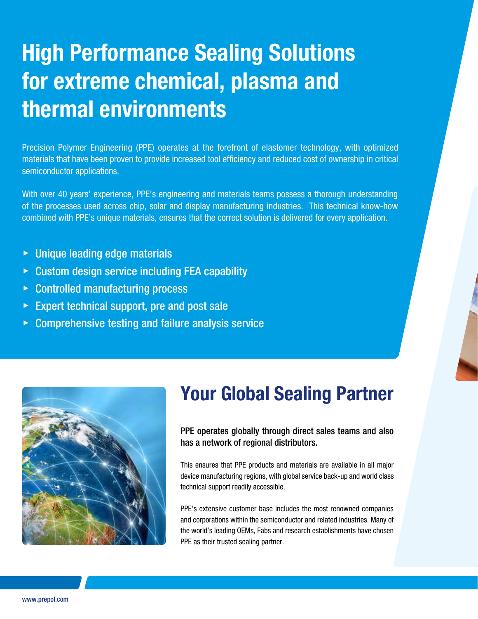# High Performance Sealing Solutions for extreme chemical, plasma and thermal environments

Precision Polymer Engineering (PPE) operates at the forefront of elastomer technology, with optimized materials that have been proven to provide increased tool efficiency and reduced cost of ownership in critical semiconductor applications.

With over 40 years' experience, PPE's engineering and materials teams possess a thorough understanding of the processes used across chip, solar and display manufacturing industries. This technical know-how combined with PPE's unique materials, ensures that the correct solution is delivered for every application.

- ▶ Unique leading edge materials
- ▶ Custom design service including FEA capability
- ▶ Controlled manufacturing process
- $\triangleright$  Expert technical support, pre and post sale
- $\triangleright$  Comprehensive testing and failure analysis service



## Your Global Sealing Partner

PPE operates globally through direct sales teams and also has a network of regional distributors.

This ensures that PPE products and materials are available in all major device manufacturing regions, with global service back-up and world class technical support readily accessible.

PPE's extensive customer base includes the most renowned companies and corporations within the semiconductor and related industries. Many of the world's leading OEMs, Fabs and research establishments have chosen PPE as their trusted sealing partner.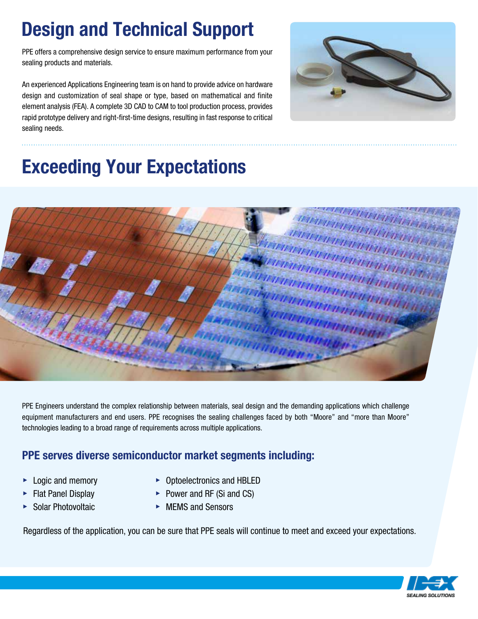# Design and Technical Support

PPE offers a comprehensive design service to ensure maximum performance from your sealing products and materials.

An experienced Applications Engineering team is on hand to provide advice on hardware design and customization of seal shape or type, based on mathematical and finite element analysis (FEA). A complete 3D CAD to CAM to tool production process, provides rapid prototype delivery and right-first-time designs, resulting in fast response to critical sealing needs.



# Exceeding Your Expectations



PPE Engineers understand the complex relationship between materials, seal design and the demanding applications which challenge equipment manufacturers and end users. PPE recognises the sealing challenges faced by both "Moore" and "more than Moore" technologies leading to a broad range of requirements across multiple applications.

#### PPE serves diverse semiconductor market segments including:

- 
- ▶ Logic and memory ▶ Optoelectronics and HBLED
- ▶ Flat Panel Display ▶ Power and RF (Si and CS)
- ▶ Solar Photovoltaic ▶ MEMS and Sensors

Regardless of the application, you can be sure that PPE seals will continue to meet and exceed your expectations.

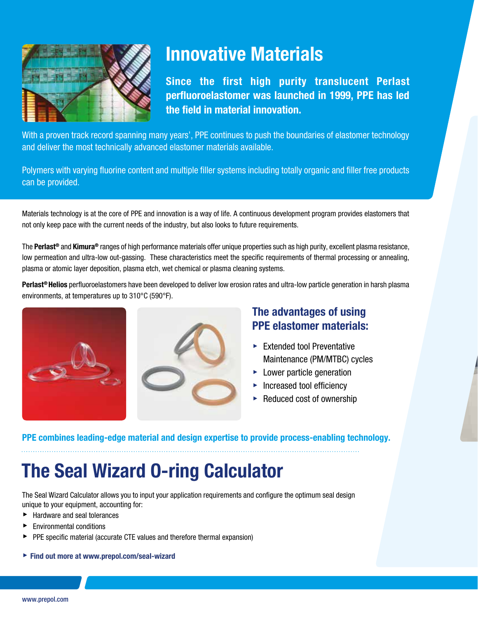

## Innovative Materials

Since the first high purity translucent Perlast perfluoroelastomer was launched in 1999, PPE has led the field in material innovation.

With a proven track record spanning many years', PPE continues to push the boundaries of elastomer technology and deliver the most technically advanced elastomer materials available.

Polymers with varying fluorine content and multiple filler systems including totally organic and filler free products can be provided.

Materials technology is at the core of PPE and innovation is a way of life. A continuous development program provides elastomers that not only keep pace with the current needs of the industry, but also looks to future requirements.

The Perlast<sup>®</sup> and Kimura<sup>®</sup> ranges of high performance materials offer unique properties such as high purity, excellent plasma resistance, low permeation and ultra-low out-gassing. These characteristics meet the specific requirements of thermal processing or annealing, plasma or atomic layer deposition, plasma etch, wet chemical or plasma cleaning systems.

Perlast<sup>®</sup> Helios perfluoroelastomers have been developed to deliver low erosion rates and ultra-low particle generation in harsh plasma environments, at temperatures up to 310°C (590°F).





#### The advantages of using PPE elastomer materials:

- $\blacktriangleright$  Extended tool Preventative Maintenance (PM/MTBC) cycles
- $\blacktriangleright$  Lower particle generation
- ▶ Increased tool efficiency
- $\blacktriangleright$  Reduced cost of ownership

PPE combines leading-edge material and design expertise to provide process-enabling technology.

## The Seal Wizard O-ring Calculator

The Seal Wizard Calculator allows you to input your application requirements and configure the optimum seal design unique to your equipment, accounting for:

- ▶ Hardware and seal tolerances
- ▶ Environmental conditions
- ▶ PPE specific material (accurate CTE values and therefore thermal expansion)
- ▶ Find out more at www.prepol.com/seal-wizard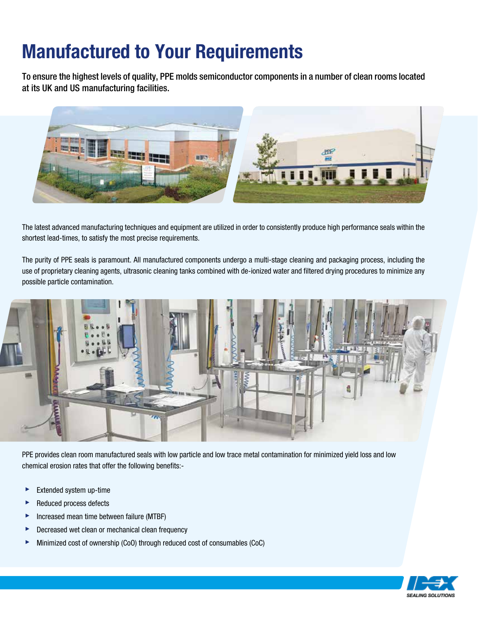# Manufactured to Your Requirements

To ensure the highest levels of quality, PPE molds semiconductor components in a number of clean rooms located at its UK and US manufacturing facilities.



The latest advanced manufacturing techniques and equipment are utilized in order to consistently produce high performance seals within the shortest lead-times, to satisfy the most precise requirements.

The purity of PPE seals is paramount. All manufactured components undergo a multi-stage cleaning and packaging process, including the use of proprietary cleaning agents, ultrasonic cleaning tanks combined with de-ionized water and filtered drying procedures to minimize any possible particle contamination.



PPE provides clean room manufactured seals with low particle and low trace metal contamination for minimized yield loss and low chemical erosion rates that offer the following benefits:-

- ▶ Extended system up-time
- ▶ Reduced process defects
- ▶ Increased mean time between failure (MTBF)
- ▶ Decreased wet clean or mechanical clean frequency
- ▶ Minimized cost of ownership (CoO) through reduced cost of consumables (CoC)

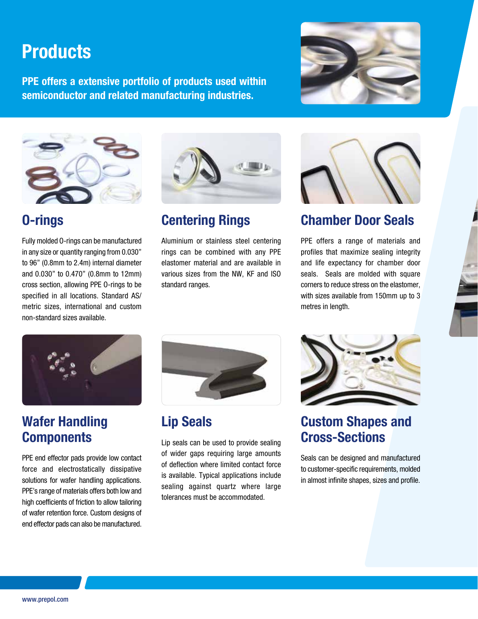## **Products**

PPE offers a extensive portfolio of products used within semiconductor and related manufacturing industries.





### O-rings

Fully molded O-rings can be manufactured in any size or quantity ranging from 0.030" to 96" (0.8mm to 2.4m) internal diameter and 0.030" to 0.470" (0.8mm to 12mm) cross section, allowing PPE O-rings to be specified in all locations. Standard AS/ metric sizes, international and custom non-standard sizes available.



### Centering Rings

Aluminium or stainless steel centering rings can be combined with any PPE elastomer material and are available in various sizes from the NW, KF and ISO standard ranges.



### Chamber Door Seals

PPE offers a range of materials and profiles that maximize sealing integrity and life expectancy for chamber door seals. Seals are molded with square corners to reduce stress on the elastomer, with sizes available from 150mm up to 3 metres in length.



### Wafer Handling **Components**

PPE end effector pads provide low contact force and electrostatically dissipative solutions for wafer handling applications. PPE's range of materials offers both low and high coefficients of friction to allow tailoring of wafer retention force. Custom designs of end effector pads can also be manufactured.



### Lip Seals

Lip seals can be used to provide sealing of wider gaps requiring large amounts of deflection where limited contact force is available. Typical applications include sealing against quartz where large tolerances must be accommodated.



#### Custom Shapes and Cross-Sections

Seals can be designed and manufactured to customer-specific requirements, molded in almost infinite shapes, sizes and profile.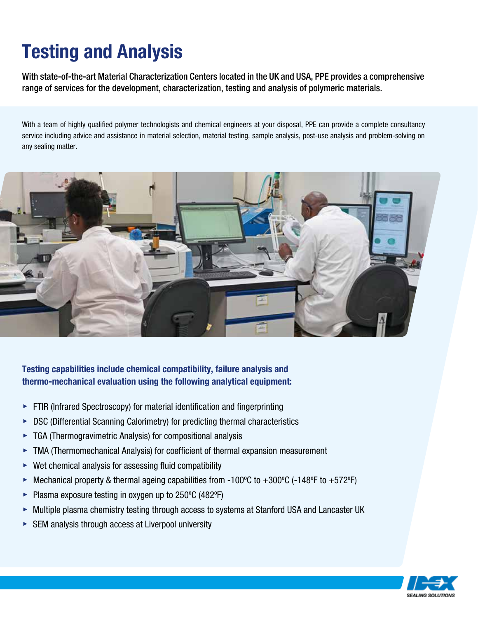# Testing and Analysis

With state-of-the-art Material Characterization Centers located in the UK and USA, PPE provides a comprehensive range of services for the development, characterization, testing and analysis of polymeric materials.

With a team of highly qualified polymer technologists and chemical engineers at your disposal, PPE can provide a complete consultancy service including advice and assistance in material selection, material testing, sample analysis, post-use analysis and problem-solving on any sealing matter.



#### Testing capabilities include chemical compatibility, failure analysis and thermo-mechanical evaluation using the following analytical equipment:

- $\triangleright$  FTIR (Infrared Spectroscopy) for material identification and fingerprinting
- ▶ DSC (Differential Scanning Calorimetry) for predicting thermal characteristics
- $\triangleright$  TGA (Thermogravimetric Analysis) for compositional analysis
- ▶ TMA (Thermomechanical Analysis) for coefficient of thermal expansion measurement
- $\triangleright$  Wet chemical analysis for assessing fluid compatibility
- ▶ Mechanical property & thermal ageing capabilities from -100°C to +300°C (-148°F to +572°F)
- ▶ Plasma exposure testing in oxygen up to 250ºC (482ºF)
- ▶ Multiple plasma chemistry testing through access to systems at Stanford USA and Lancaster UK
- $\triangleright$  SEM analysis through access at Liverpool university